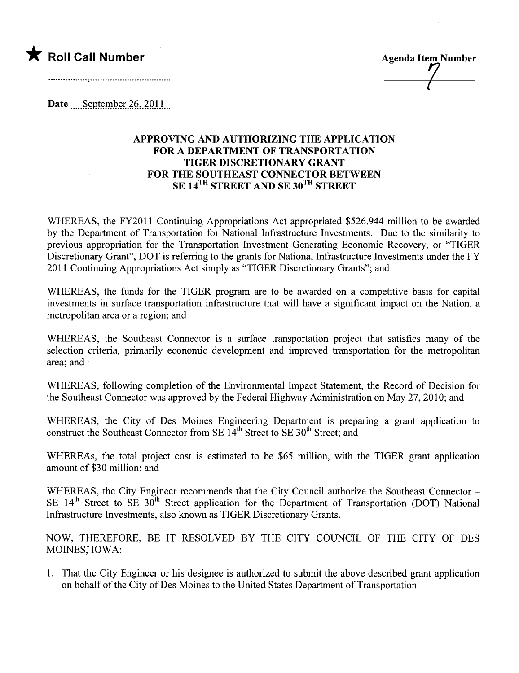

Date  $S$ eptember 26, 2011

## APPROVING AND AUTHORIZING THE APPLICATION FOR A DEPARTMENT OF TRANSPORTATION TIGER DISCRETIONARY GRANT FOR THE SOUTHEAST CONNECTOR BETWEEN SE 14<sup>TH</sup> STREET AND SE 30<sup>TH</sup> STREET

WHEREAS, the FY2011 Continuing Appropriations Act appropriated \$526.944 milion to be awarded by the Deparment of Transportation for National Infrastructure Investments. Due to the similarity to previous appropriation for the Transportation Investment Generating Economic Recovery, or "TIGER Discretionary Grant", DOT is referring to the grants for National Infrastructure Investments under the FY 2011 Continuing Appropriations Act simply as "TIGER Discretionary Grants"; and

WHEREAS, the funds for the TIGER program are to be awarded on a competitive basis for capital investments in surface transportation infrastructure that will have a significant impact on the Nation, a metropolitan area or a region; and

WHEREAS, the Southeast Connector is a surface transportation project that satisfies many of the selection criteria, primarily economic development and improved transportation for the metropolitan area; and

WHEREAS, following completion of the Environmental Impact Statement, the Record of Decision for the Southeast Connector was approved by the Federal Highway Administration on May 27, 2010; and

WHEREAS, the City of Des Moines Engineering Department is preparing a grant application to construct the Southeast Connector from SE 14<sup>th</sup> Street to SE 30<sup>th</sup> Street; and

WHEREAs, the total project cost is estimated to be \$65 million, with the TIGER grant application amount of \$30 milion; and

WHEREAS, the City Engineer recommends that the City Council authorize the Southeast Connector -SE  $14<sup>th</sup>$  Street to SE  $30<sup>th</sup>$  Street application for the Department of Transportation (DOT) National Infrastructure Investments, also known as TIGER Discretionary Grants.

NOW, THEREFORE, BE IT RESOLVED BY THE CITY COUNCIL OF THE CITY OF DES MOINES; IOWA:

1. That the City Engineer or his designee is authorized to submit the above described grant application on behalf of the City of Des Moines to the United States Deparment of Transportation.